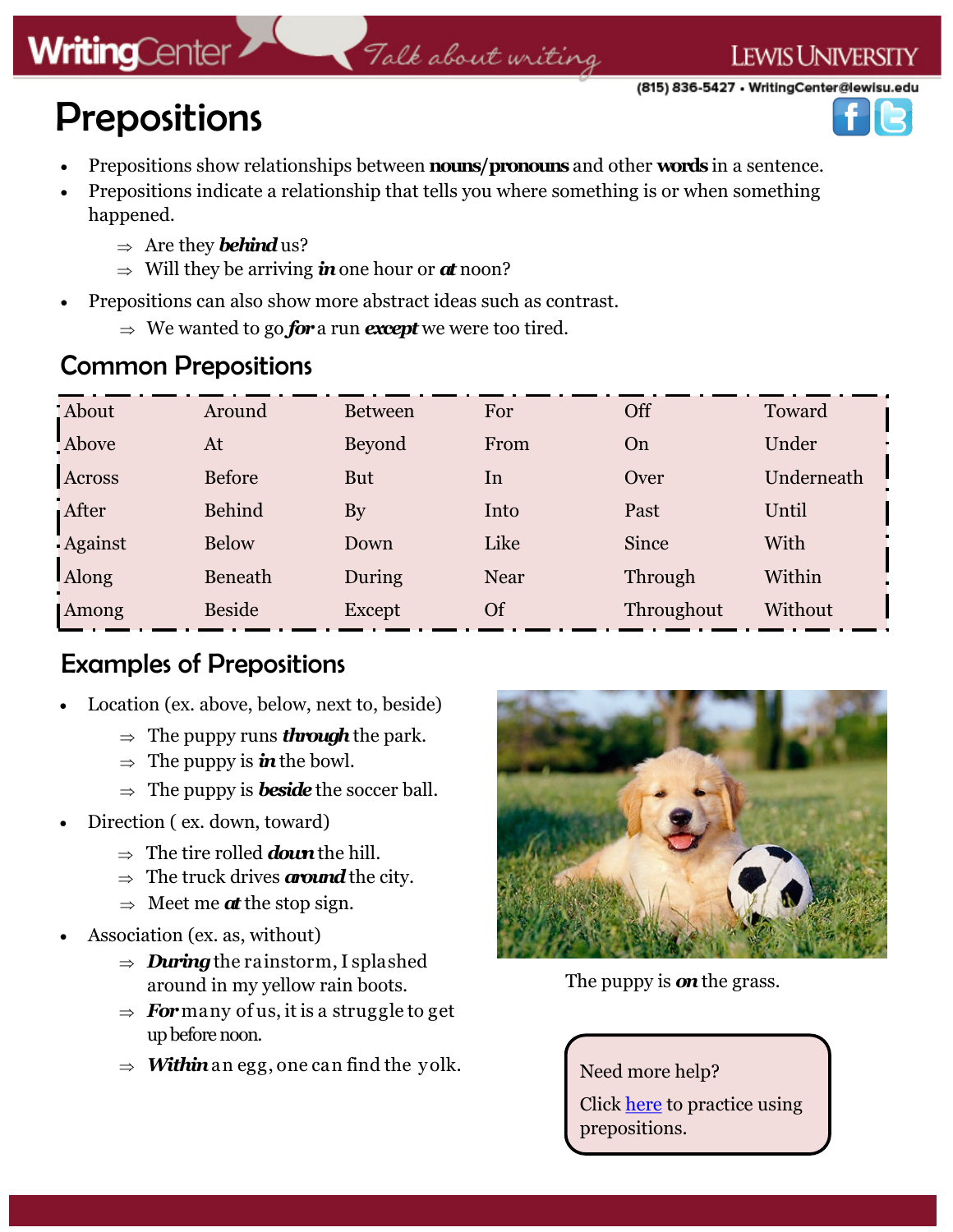# **WritingCenter**

# Talk about writing

(815) 836-5427 • WritingCenter@lewisu.edu

**LEWIS UNIVERSITY** 

# Prepositions

- Prepositions show relationships between **nouns/pronouns** and other **words** in a sentence.
- Prepositions indicate a relationship that tells you where something is or when something happened.
	- $\Rightarrow$  Are they *behind* us?
	- $\Rightarrow$  Will they be arriving **in** one hour or *at* noon?
- Prepositions can also show more abstract ideas such as contrast.
	- $\Rightarrow$  We wanted to go *for* a run *except* we were too tired.

### Common Prepositions

| : About       | Around        | <b>Between</b> | For       | Off        | Toward     |
|---------------|---------------|----------------|-----------|------------|------------|
| Above         | At            | <b>Beyond</b>  | From      | On         | Under      |
| <b>Across</b> | <b>Before</b> | <b>But</b>     | In        | Over       | Underneath |
| After         | <b>Behind</b> | By             | Into      | Past       | Until      |
| - Against     | <b>Below</b>  | Down           | Like      | Since      | With       |
| <b>Along</b>  | Beneath       | During         | Near      | Through    | Within     |
| Among         | <b>Beside</b> | <b>Except</b>  | <b>Of</b> | Throughout | Without    |

### Examples of Prepositions

- Location (ex. above, below, next to, beside)
	- $\Rightarrow$  The puppy runs *through* the park.
	- $\Rightarrow$  The puppy is **in** the bowl.
	- $\Rightarrow$  The puppy is **beside** the soccer ball.
- Direction ( ex. down, toward)
	- $\Rightarrow$  The tire rolled *down* the hill.
	- $\Rightarrow$  The truck drives *around* the city.
	- $\Rightarrow$  Meet me *at* the stop sign.
- Association (ex. as, without)
	- $\Rightarrow$  *During* the rainstorm, I splashed around in my yellow rain boots.
	- $\Rightarrow$  **For** many of us, it is a struggle to get up before noon.
	- $\Rightarrow$  *Within* an egg, one can find the yolk.



The puppy is *on*the grass.

Need more help? Click [here](http://grammar.ccc.commnet.edu/grammar/quizzes/preposition_quiz1.htm) to practice using prepositions.